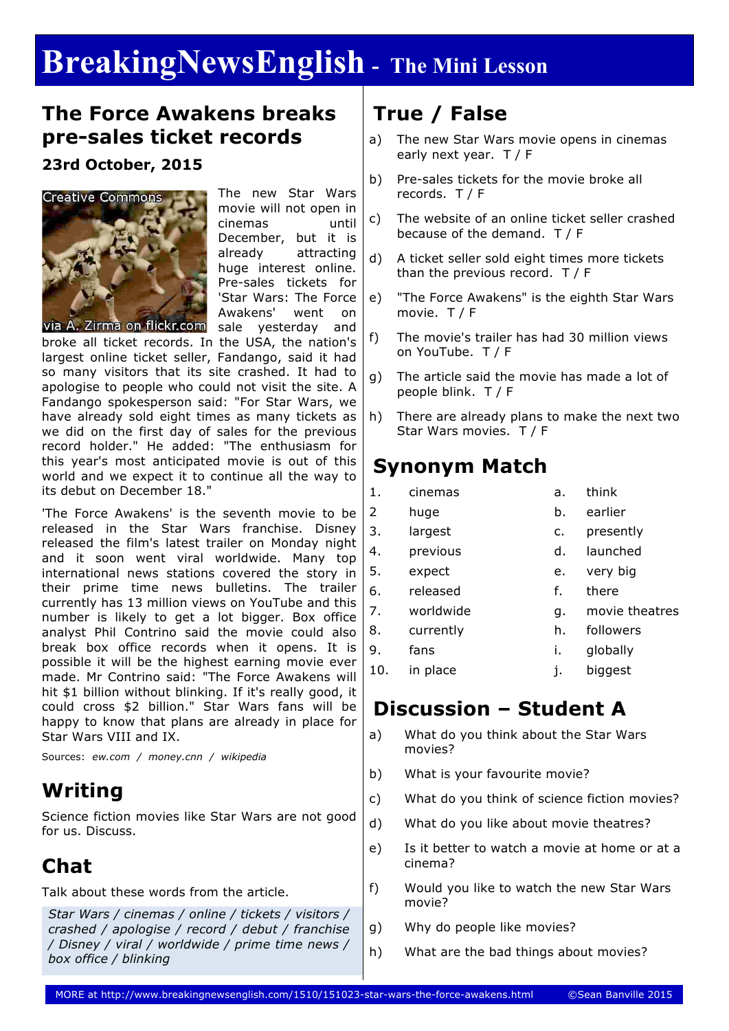# **BreakingNewsEnglish - The Mini Lesson**

#### **The Force Awakens breaks pre-sales ticket records**

#### **23rd October, 2015**



The new Star Wars movie will not open in cinemas until December, but it is already attracting huge interest online. Pre-sales tickets for 'Star Wars: The Force Awakens' went on sale yesterday and

broke all ticket records. In the USA, the nation's largest online ticket seller, Fandango, said it had so many visitors that its site crashed. It had to apologise to people who could not visit the site. A Fandango spokesperson said: "For Star Wars, we have already sold eight times as many tickets as we did on the first day of sales for the previous record holder." He added: "The enthusiasm for this year's most anticipated movie is out of this world and we expect it to continue all the way to its debut on December 18."

'The Force Awakens' is the seventh movie to be released in the Star Wars franchise. Disney released the film's latest trailer on Monday night and it soon went viral worldwide. Many top international news stations covered the story in their prime time news bulletins. The trailer currently has 13 million views on YouTube and this number is likely to get a lot bigger. Box office analyst Phil Contrino said the movie could also break box office records when it opens. It is possible it will be the highest earning movie ever made. Mr Contrino said: "The Force Awakens will hit \$1 billion without blinking. If it's really good, it could cross \$2 billion." Star Wars fans will be happy to know that plans are already in place for Star Wars VIII and IX.

Sources: *ew.com / money.cnn / wikipedia*

## **Writing**

Science fiction movies like Star Wars are not good for us. Discuss.

## **Chat**

Talk about these words from the article.

*Star Wars / cinemas / online / tickets / visitors / crashed / apologise / record / debut / franchise / Disney / viral / worldwide / prime time news / box office / blinking*

## **True / False**

- a) The new Star Wars movie opens in cinemas early next year. T / F
- b) Pre-sales tickets for the movie broke all records. T / F
- c) The website of an online ticket seller crashed because of the demand. T / F
- d) A ticket seller sold eight times more tickets than the previous record. T / F
- e) "The Force Awakens" is the eighth Star Wars movie. T / F
- f) The movie's trailer has had 30 million views on YouTube. T / F
- g) The article said the movie has made a lot of people blink. T / F
- h) There are already plans to make the next two Star Wars movies. T / F

### **Synonym Match**

| 1.             | cinemas   | a.             | think          |  |
|----------------|-----------|----------------|----------------|--|
| $\overline{2}$ | huge      | b.             | earlier        |  |
| 3.             | largest   | $\mathsf{C}$ . | presently      |  |
| 4.             | previous  | d.             | launched       |  |
| 5.             | expect    | e.             | very big       |  |
| 6.             | released  | f.             | there          |  |
| 7.             | worldwide | q.             | movie theatres |  |
| 8.             | currently | h.             | followers      |  |
| 9.             | fans      | i.             | globally       |  |
| 10.            | in place  | j.             | biggest        |  |

### **Discussion – Student A**

- a) What do you think about the Star Wars movies?
- b) What is your favourite movie?
- c) What do you think of science fiction movies?
- d) What do you like about movie theatres?
- e) Is it better to watch a movie at home or at a cinema?
- f) Would you like to watch the new Star Wars movie?
- g) Why do people like movies?
- h) What are the bad things about movies?